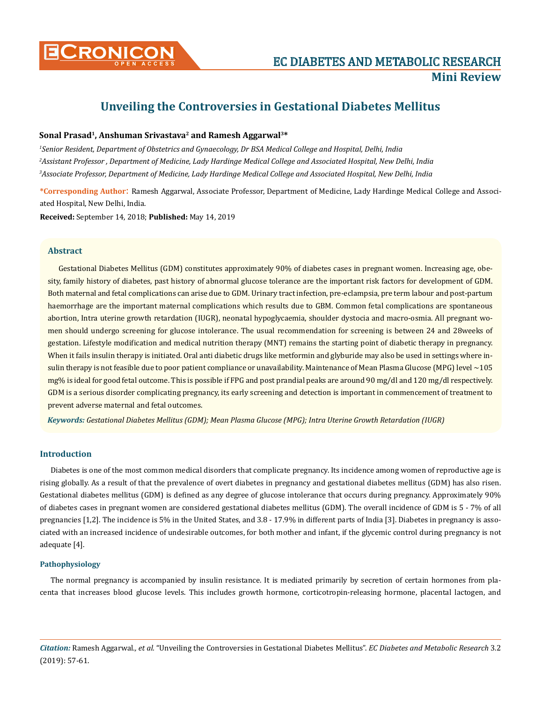

# **Unveiling the Controversies in Gestational Diabetes Mellitus**

## Sonal Prasad<sup>1</sup>, Anshuman Srivastava<sup>2</sup> and Ramesh Aggarwal<sup>3\*</sup>

*1 Senior Resident, Department of Obstetrics and Gynaecology, Dr BSA Medical College and Hospital, Delhi, India 2 Assistant Professor , Department of Medicine, Lady Hardinge Medical College and Associated Hospital, New Delhi, India 3 Associate Professor, Department of Medicine, Lady Hardinge Medical College and Associated Hospital, New Delhi, India*

**\*Corresponding Author**: Ramesh Aggarwal, Associate Professor, Department of Medicine, Lady Hardinge Medical College and Associated Hospital, New Delhi, India.

**Received:** September 14, 2018; **Published:** May 14, 2019

#### **Abstract**

Gestational Diabetes Mellitus (GDM) constitutes approximately 90% of diabetes cases in pregnant women. Increasing age, obesity, family history of diabetes, past history of abnormal glucose tolerance are the important risk factors for development of GDM. Both maternal and fetal complications can arise due to GDM. Urinary tract infection, pre-eclampsia, pre term labour and post-partum haemorrhage are the important maternal complications which results due to GBM. Common fetal complications are spontaneous abortion, Intra uterine growth retardation (IUGR), neonatal hypoglycaemia, shoulder dystocia and macro-osmia. All pregnant women should undergo screening for glucose intolerance. The usual recommendation for screening is between 24 and 28weeks of gestation. Lifestyle modification and medical nutrition therapy (MNT) remains the starting point of diabetic therapy in pregnancy. When it fails insulin therapy is initiated. Oral anti diabetic drugs like metformin and glyburide may also be used in settings where insulin therapy is not feasible due to poor patient compliance or unavailability. Maintenance of Mean Plasma Glucose (MPG) level ~105 mg% is ideal for good fetal outcome. This is possible if FPG and post prandial peaks are around 90 mg/dl and 120 mg/dl respectively. GDM is a serious disorder complicating pregnancy, its early screening and detection is important in commencement of treatment to prevent adverse maternal and fetal outcomes.

*Keywords: Gestational Diabetes Mellitus (GDM); Mean Plasma Glucose (MPG); Intra Uterine Growth Retardation (IUGR)*

## **Introduction**

Diabetes is one of the most common medical disorders that complicate pregnancy. Its incidence among women of reproductive age is rising globally. As a result of that the prevalence of overt diabetes in pregnancy and gestational diabetes mellitus (GDM) has also risen. Gestational diabetes mellitus (GDM) is defined as any degree of glucose intolerance that occurs during pregnancy. Approximately 90% of diabetes cases in pregnant women are considered gestational diabetes mellitus (GDM). The overall incidence of GDM is 5 - 7% of all pregnancies [1,2]. The incidence is 5% in the United States, and 3.8 - 17.9% in different parts of India [3]. Diabetes in pregnancy is associated with an increased incidence of undesirable outcomes, for both mother and infant, if the glycemic control during pregnancy is not adequate [4].

#### **Pathophysiology**

The normal pregnancy is accompanied by insulin resistance. It is mediated primarily by secretion of certain hormones from placenta that increases blood glucose levels. This includes growth hormone, corticotropin-releasing hormone, placental lactogen, and

*Citation:* Ramesh Aggarwal*., et al.* "Unveiling the Controversies in Gestational Diabetes Mellitus". *EC Diabetes and Metabolic Research* 3.2 (2019): 57-61.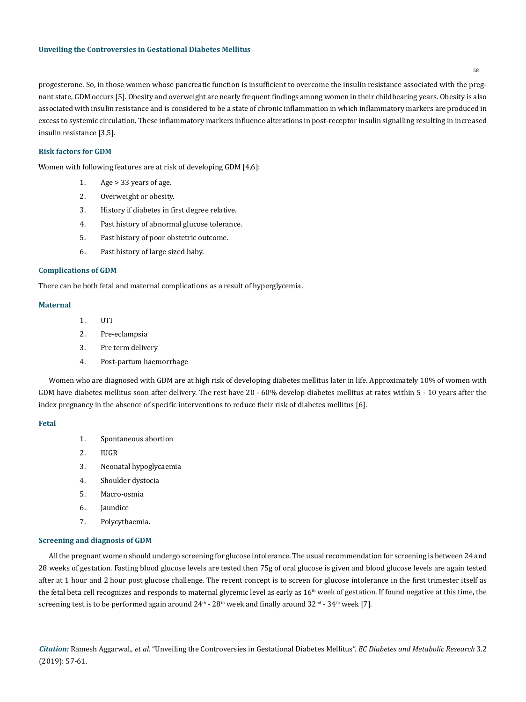58

progesterone. So, in those women whose pancreatic function is insufficient to overcome the insulin resistance associated with the pregnant state, GDM occurs [5]. Obesity and overweight are nearly frequent findings among women in their childbearing years. Obesity is also associated with insulin resistance and is considered to be a state of chronic inflammation in which inflammatory markers are produced in excess to systemic circulation. These inflammatory markers influence alterations in post-receptor insulin signalling resulting in increased insulin resistance [3,5].

## **Risk factors for GDM**

Women with following features are at risk of developing GDM [4,6]:

- 1. Age > 33 years of age.
- 2. Overweight or obesity.
- 3. History if diabetes in first degree relative.
- 4. Past history of abnormal glucose tolerance.
- 5. Past history of poor obstetric outcome.
- 6. Past history of large sized baby.

#### **Complications of GDM**

There can be both fetal and maternal complications as a result of hyperglycemia.

# **Maternal**

- 1. UTI
- 2. Pre-eclampsia
- 3. Pre term delivery
- 4. Post-partum haemorrhage

Women who are diagnosed with GDM are at high risk of developing diabetes mellitus later in life. Approximately 10% of women with GDM have diabetes mellitus soon after delivery. The rest have 20 - 60% develop diabetes mellitus at rates within 5 - 10 years after the index pregnancy in the absence of specific interventions to reduce their risk of diabetes mellitus [6].

#### **Fetal**

- 1. Spontaneous abortion
- 2. IUGR
- 3. Neonatal hypoglycaemia
- 4. Shoulder dystocia
- 5. Macro-osmia
- 6. Jaundice
- 7. Polycythaemia.

#### **Screening and diagnosis of GDM**

All the pregnant women should undergo screening for glucose intolerance. The usual recommendation for screening is between 24 and 28 weeks of gestation. Fasting blood glucose levels are tested then 75g of oral glucose is given and blood glucose levels are again tested after at 1 hour and 2 hour post glucose challenge. The recent concept is to screen for glucose intolerance in the first trimester itself as the fetal beta cell recognizes and responds to maternal glycemic level as early as 16<sup>th</sup> week of gestation. If found negative at this time, the screening test is to be performed again around  $24^{\text{th}}$  -  $28^{\text{th}}$  week and finally around  $32^{\text{nd}}$  -  $34^{\text{th}}$  week [7].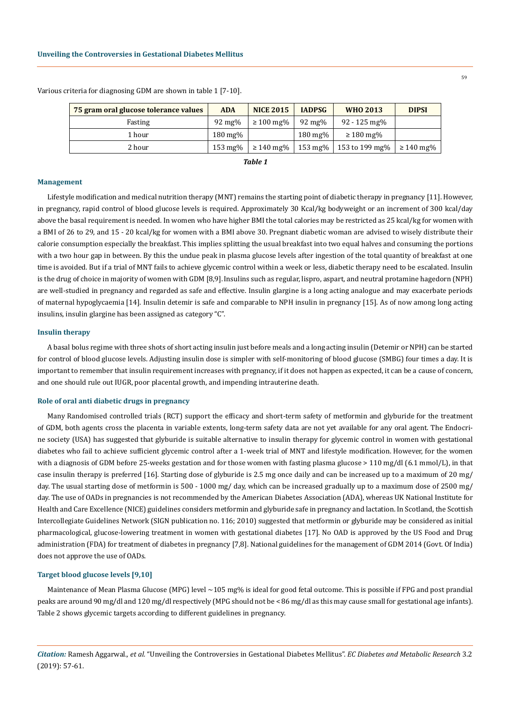| 75 gram oral glucose tolerance values | <b>ADA</b>         | <b>NICE 2015</b>        | <b>IADPSG</b>      | <b>WHO 2013</b> | <b>DIPSI</b>   |
|---------------------------------------|--------------------|-------------------------|--------------------|-----------------|----------------|
| Fasting                               | $92 \text{ mg}$ %  | $\geq 100 \text{ mg\%}$ | $92 \text{ mg}$ %  | 92 - 125 mg%    |                |
| 1 hour                                | $180 \text{ mg}$ % |                         | $180 \text{ mg\%}$ | $\geq 180$ mg%  |                |
| 2 hour                                | $153 \text{ mg\%}$ | $\geq 140$ mg%          | $153 \text{ mg\%}$ | 153 to 199 mg%  | $\geq 140$ mg% |

Various criteria for diagnosing GDM are shown in table 1 [7-10].

*Table 1*

#### **Management**

Lifestyle modification and medical nutrition therapy (MNT) remains the starting point of diabetic therapy in pregnancy [11]. However, in pregnancy, rapid control of blood glucose levels is required. Approximately 30 Kcal/kg bodyweight or an increment of 300 kcal/day above the basal requirement is needed. In women who have higher BMI the total calories may be restricted as 25 kcal/kg for women with a BMI of 26 to 29, and 15 - 20 kcal/kg for women with a BMI above 30. Pregnant diabetic woman are advised to wisely distribute their calorie consumption especially the breakfast. This implies splitting the usual breakfast into two equal halves and consuming the portions with a two hour gap in between. By this the undue peak in plasma glucose levels after ingestion of the total quantity of breakfast at one time is avoided. But if a trial of MNT fails to achieve glycemic control within a week or less, diabetic therapy need to be escalated. Insulin is the drug of choice in majority of women with GDM [8,9].Insulins such as regular, lispro, aspart, and neutral protamine hagedorn (NPH) are well-studied in pregnancy and regarded as safe and effective. Insulin glargine is a long acting analogue and may exacerbate periods of maternal hypoglycaemia [14]. Insulin detemir is safe and comparable to NPH insulin in pregnancy [15]. As of now among long acting insulins, insulin glargine has been assigned as category "C".

#### **Insulin therapy**

A basal bolus regime with three shots of short acting insulin just before meals and a long acting insulin (Detemir or NPH) can be started for control of blood glucose levels. Adjusting insulin dose is simpler with self-monitoring of blood glucose (SMBG) four times a day. It is important to remember that insulin requirement increases with pregnancy, if it does not happen as expected, it can be a cause of concern, and one should rule out IUGR, poor placental growth, and impending intrauterine death.

#### **Role of oral anti diabetic drugs in pregnancy**

Many Randomised controlled trials (RCT) support the efficacy and short-term safety of metformin and glyburide for the treatment of GDM, both agents cross the placenta in variable extents, long-term safety data are not yet available for any oral agent. The Endocrine society (USA) has suggested that glyburide is suitable alternative to insulin therapy for glycemic control in women with gestational diabetes who fail to achieve sufficient glycemic control after a 1-week trial of MNT and lifestyle modification. However, for the women with a diagnosis of GDM before 25-weeks gestation and for those women with fasting plasma glucose > 110 mg/dl (6.1 mmol/L), in that case insulin therapy is preferred [16]. Starting dose of glyburide is 2.5 mg once daily and can be increased up to a maximum of 20 mg/ day. The usual starting dose of metformin is 500 - 1000 mg/ day, which can be increased gradually up to a maximum dose of 2500 mg/ day. The use of OADs in pregnancies is not recommended by the American Diabetes Association (ADA), whereas UK National Institute for Health and Care Excellence (NICE) guidelines considers metformin and glyburide safe in pregnancy and lactation. In Scotland, the Scottish Intercollegiate Guidelines Network (SIGN publication no. 116; 2010) suggested that metformin or glyburide may be considered as initial pharmacological, glucose-lowering treatment in women with gestational diabetes [17]. No OAD is approved by the US Food and Drug administration (FDA) for treatment of diabetes in pregnancy [7,8]. National guidelines for the management of GDM 2014 (Govt. Of India) does not approve the use of OADs.

#### **Target blood glucose levels [9,10]**

Maintenance of Mean Plasma Glucose (MPG) level ~105 mg% is ideal for good fetal outcome. This is possible if FPG and post prandial peaks are around 90 mg/dl and 120 mg/dl respectively (MPG should not be < 86 mg/dl as this may cause small for gestational age infants). Table 2 shows glycemic targets according to different guidelines in pregnancy.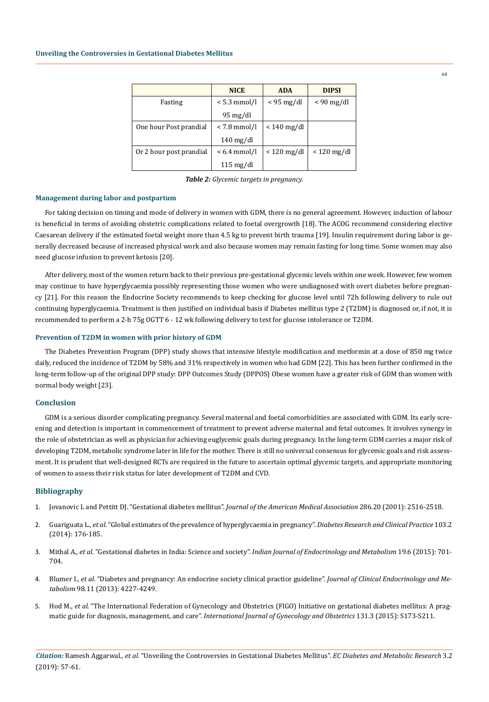|                         | <b>NICE</b>            | <b>ADA</b>    | <b>DIPSI</b>         |  |
|-------------------------|------------------------|---------------|----------------------|--|
| Fasting                 | $< 5.3$ mmol/l         | $<$ 95 mg/dl  | $< 90 \text{ mg/dl}$ |  |
|                         | 95 mg/dl               |               |                      |  |
| One hour Post prandial  | < 7.8 mmol/l           | $< 140$ mg/dl |                      |  |
|                         | $140 \,\mathrm{mg/dl}$ |               |                      |  |
| Or 2 hour post prandial | $< 6.4$ mmol/l         | $< 120$ mg/dl | $< 120$ mg/dl        |  |
|                         | $115 \text{ mg/dl}$    |               |                      |  |

*Table 2: Glycemic targets in pregnancy.*

#### **Management during labor and postpartum**

For taking decision on timing and mode of delivery in women with GDM, there is no general agreement. However, induction of labour is beneficial in terms of avoiding obstetric complications related to foetal overgrowth [18]. The ACOG recommend considering elective Caesarean delivery if the estimated foetal weight more than 4.5 kg to prevent birth trauma [19]. Insulin requirement during labor is generally decreased because of increased physical work and also because women may remain fasting for long time. Some women may also need glucose infusion to prevent ketosis [20].

After delivery, most of the women return back to their previous pre-gestational glycemic levels within one week. However, few women may continue to have hyperglycaemia possibly representing those women who were undiagnosed with overt diabetes before pregnancy [21]. For this reason the Endocrine Society recommends to keep checking for glucose level until 72h following delivery to rule out continuing hyperglycaemia. Treatment is then justified on individual basis if Diabetes mellitus type 2 (T2DM) is diagnosed or, if not, it is recommended to perform a 2-h 75g OGTT 6 - 12 wk following delivery to test for glucose intolerance or T2DM.

#### **Prevention of T2DM in women with prior history of GDM**

The Diabetes Prevention Program (DPP) study shows that intensive lifestyle modification and metformin at a dose of 850 mg twice daily, reduced the incidence of T2DM by 58% and 31% respectively in women who had GDM [22]. This has been further confirmed in the long-term follow-up of the original DPP study: DPP Outcomes Study (DPPOS) Obese women have a greater risk of GDM than women with normal body weight [23].

# **Conclusion**

GDM is a serious disorder complicating pregnancy. Several maternal and foetal comorbidities are associated with GDM. Its early screening and detection is important in commencement of treatment to prevent adverse maternal and fetal outcomes. It involves synergy in the role of obstetrician as well as physician for achieving euglycemic goals during pregnancy. In the long-term GDM carries a major risk of developing T2DM, metabolic syndrome later in life for the mother. There is still no universal consensus for glycemic goals and risk assessment. It is prudent that well-designed RCTs are required in the future to ascertain optimal glycemic targets, and appropriate monitoring of women to assess their risk status for later development of T2DM and CVD.

## **Bibliography**

- 1. [Jovanovic L and Pettitt DJ. "Gestational diabetes mellitus".](https://www.ncbi.nlm.nih.gov/pubmed/11722247) *Journal of the American Medical Association* 286.20 (2001): 2516-2518.
- 2. Guariguata L., *et al*[. "Global estimates of the prevalence of hyperglycaemia in pregnancy".](https://www.ncbi.nlm.nih.gov/pubmed/24300020) *Diabetes Research and Clinical Practice* 103.2 [\(2014\): 176-185.](https://www.ncbi.nlm.nih.gov/pubmed/24300020)
- 3. Mithal A., *et al*. "Gestational diabetes in India: Science and society". *[Indian Journal of Endocrinology and Metabolism](https://www.ncbi.nlm.nih.gov/pmc/articles/PMC4673797/)* 19.6 (2015): 701- [704.](https://www.ncbi.nlm.nih.gov/pmc/articles/PMC4673797/)
- 4. Blumer I., *et al*[. "Diabetes and pregnancy: An endocrine society clinical practice guideline".](https://www.ncbi.nlm.nih.gov/pubmed/24194617) *Journal of Clinical Endocrinology and Metabolism* [98.11 \(2013\): 4227-4249.](https://www.ncbi.nlm.nih.gov/pubmed/24194617)
- 5. Hod M., *et al*[. "The International Federation of Gynecology and Obstetrics \(FIGO\) Initiative on gestational diabetes mellitus: A prag](https://www.ncbi.nlm.nih.gov/pubmed/26433807)matic guide for diagnosis, management, and care". *[International Journal of Gynecology and Obstetrics](https://www.ncbi.nlm.nih.gov/pubmed/26433807)* 131.3 (2015): S173-S211.

*Citation:* Ramesh Aggarwal*., et al.* "Unveiling the Controversies in Gestational Diabetes Mellitus". *EC Diabetes and Metabolic Research* 3.2 (2019): 57-61.